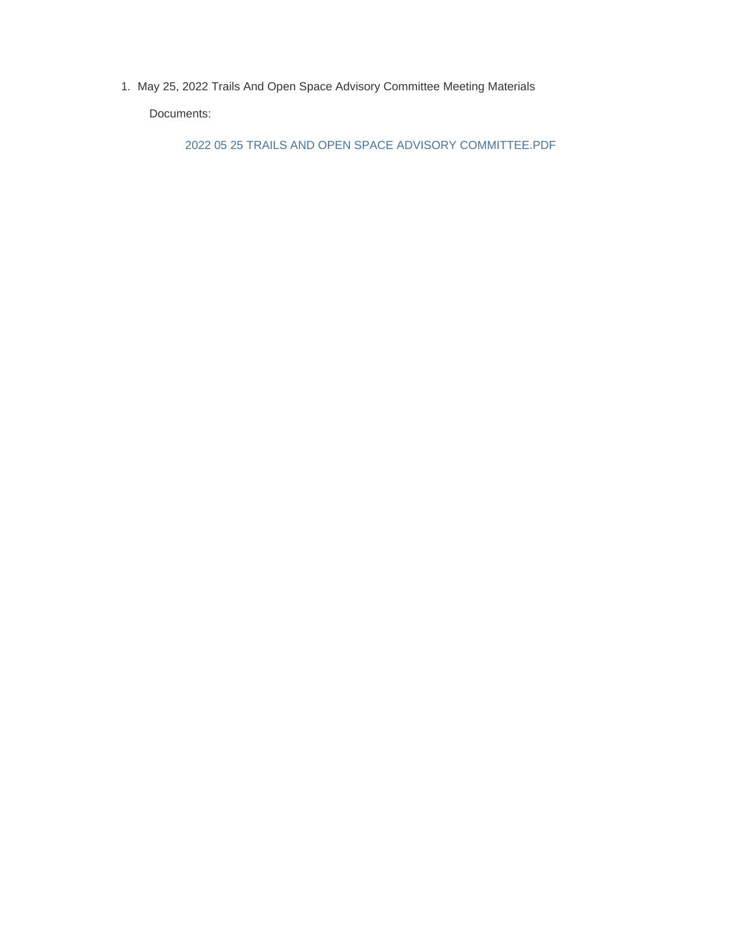1. May 25, 2022 Trails And Open Space Advisory Committee Meeting Materials

Documents:

2022 05 25 TRAILS AND OPEN SPACE ADVISORY COMMITTEE.PDF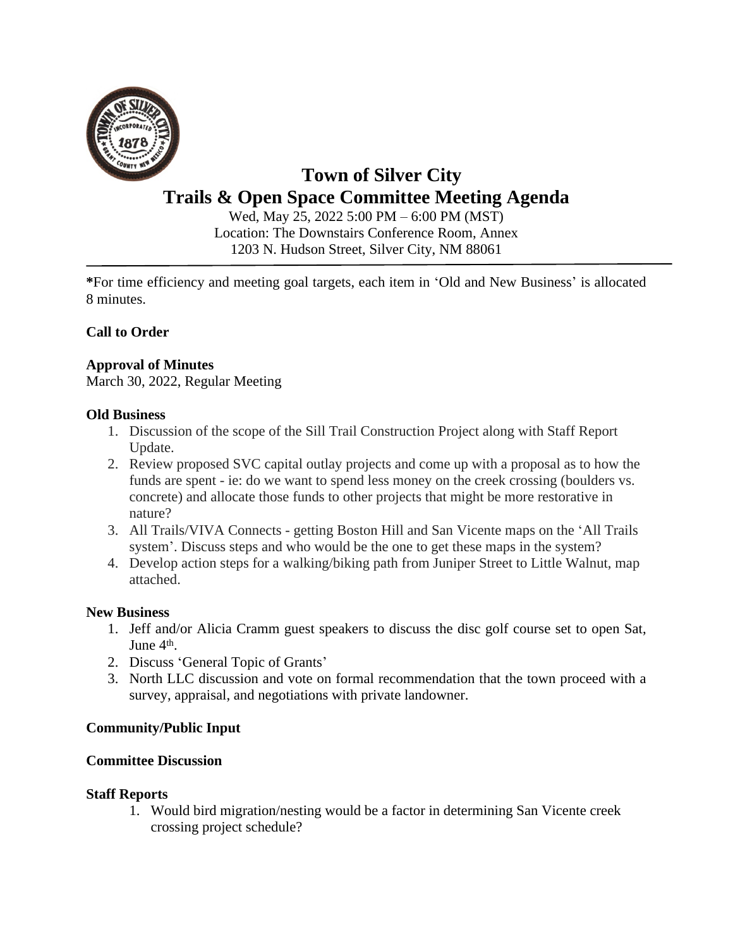

# **Town of Silver City Trails & Open Space Committee Meeting Agenda**

Wed, May 25, 2022 5:00 PM – 6:00 PM (MST) Location: The Downstairs Conference Room, Annex 1203 N. Hudson Street, Silver City, NM 88061

**\***For time efficiency and meeting goal targets, each item in 'Old and New Business' is allocated 8 minutes.

# **Call to Order**

## **Approval of Minutes**

March 30, 2022, Regular Meeting

#### **Old Business**

- 1. Discussion of the scope of the Sill Trail Construction Project along with Staff Report Update.
- 2. Review proposed SVC capital outlay projects and come up with a proposal as to how the funds are spent - ie: do we want to spend less money on the creek crossing (boulders vs. concrete) and allocate those funds to other projects that might be more restorative in nature?
- 3. All Trails/VIVA Connects getting Boston Hill and San Vicente maps on the 'All Trails system'. Discuss steps and who would be the one to get these maps in the system?
- 4. Develop action steps for a walking/biking path from Juniper Street to Little Walnut, map attached.

#### **New Business**

- 1. Jeff and/or Alicia Cramm guest speakers to discuss the disc golf course set to open Sat, June 4<sup>th</sup>.
- 2. Discuss 'General Topic of Grants'
- 3. North LLC discussion and vote on formal recommendation that the town proceed with a survey, appraisal, and negotiations with private landowner.

## **Community/Public Input**

#### **Committee Discussion**

#### **Staff Reports**

1. Would bird migration/nesting would be a factor in determining San Vicente creek crossing project schedule?